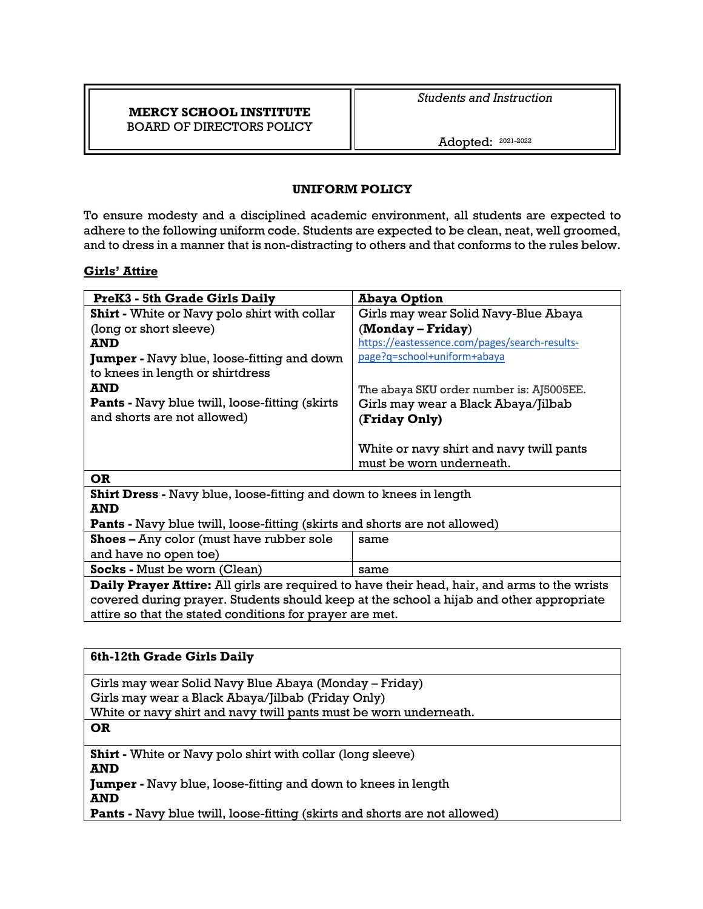## **MERCY SCHOOL INSTITUTE** BOARD OF DIRECTORS POLICY

*Students and Instruction*

Adopted: 2021-2022

# **UNIFORM POLICY**

To ensure modesty and a disciplined academic environment, all students are expected to adhere to the following uniform code. Students are expected to be clean, neat, well groomed, and to dress in a manner that is non-distracting to others and that conforms to the rules below.

## **Girls' Attire**

| <b>PreK3 - 5th Grade Girls Daily</b>                                              | <b>Abaya Option</b>                           |  |
|-----------------------------------------------------------------------------------|-----------------------------------------------|--|
| <b>Shirt</b> - White or Navy polo shirt with collar                               | Girls may wear Solid Navy-Blue Abaya          |  |
| (long or short sleeve)                                                            | (Monday – Friday)                             |  |
| AND                                                                               | https://eastessence.com/pages/search-results- |  |
| <b>Jumper</b> - Navy blue, loose-fitting and down                                 | page?q=school+uniform+abaya                   |  |
| to knees in length or shirtdress                                                  |                                               |  |
| <b>AND</b>                                                                        | The abaya SKU order number is: AJ5005EE.      |  |
| <b>Pants</b> - Navy blue twill, loose-fitting (skirts)                            | Girls may wear a Black Abaya/Jilbab           |  |
| and shorts are not allowed)                                                       | (Friday Only)                                 |  |
|                                                                                   |                                               |  |
|                                                                                   | White or navy shirt and navy twill pants      |  |
|                                                                                   | must be worn underneath.                      |  |
| <b>OR</b>                                                                         |                                               |  |
| <b>Shirt Dress</b> - Navy blue, loose-fitting and down to knees in length         |                                               |  |
| <b>AND</b>                                                                        |                                               |  |
| <b>Pants</b> - Navy blue twill, loose-fitting (skirts and shorts are not allowed) |                                               |  |
| <b>Shoes - Any color (must have rubber sole</b>                                   | same                                          |  |
| and have no open toe)                                                             |                                               |  |

**Socks** - Must be worn (Clean) same **Daily Prayer Attire:** All girls are required to have their head, hair, and arms to the wrists covered during prayer. Students should keep at the school a hijab and other appropriate attire so that the stated conditions for prayer are met.

| 6th-12th Grade Girls Daily                                                        |  |
|-----------------------------------------------------------------------------------|--|
| Girls may wear Solid Navy Blue Abaya (Monday – Friday)                            |  |
| Girls may wear a Black Abaya/Jilbab (Friday Only)                                 |  |
| White or navy shirt and navy twill pants must be worn underneath.                 |  |
| <b>OR</b>                                                                         |  |
| <b>Shirt</b> - White or Navy polo shirt with collar (long sleeve)                 |  |
| <b>AND</b>                                                                        |  |
| <b>Jumper</b> - Navy blue, loose-fitting and down to knees in length              |  |
| <b>AND</b>                                                                        |  |
| <b>Pants</b> - Navy blue twill, loose-fitting (skirts and shorts are not allowed) |  |